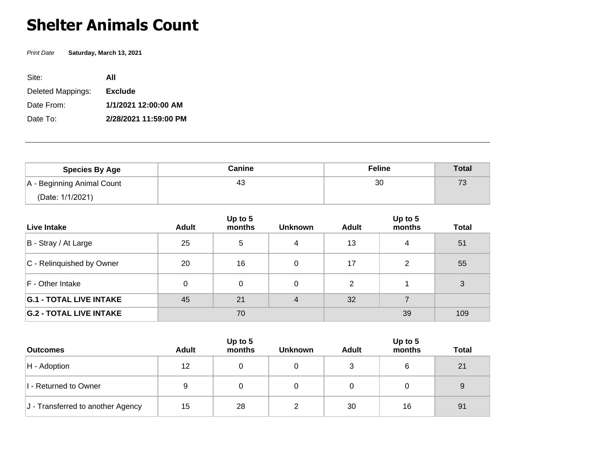## **Shelter Animals Count**

Print Date **Saturday, March 13, 2021**

| Site:             | ΑII                   |
|-------------------|-----------------------|
| Deleted Mappings: | <b>Exclude</b>        |
| Date From:        | 1/1/2021 12:00:00 AM  |
| Date To:          | 2/28/2021 11:59:00 PM |

| <b>Species By Age</b>      | Canine | <b>Feline</b> | <b>Total</b> |
|----------------------------|--------|---------------|--------------|
| A - Beginning Animal Count | 43     | 30            | 73           |
| (Date: 1/1/2021)           |        |               |              |

| Live Intake                    | <b>Adult</b> | Up to 5<br>months | <b>Unknown</b> | Adult          | Up to 5<br>months | <b>Total</b> |
|--------------------------------|--------------|-------------------|----------------|----------------|-------------------|--------------|
| B - Stray / At Large           | 25           | 5                 | 4              | 13             | 4                 | 51           |
| C - Relinguished by Owner      | 20           | 16                | 0              | 17             | 2                 | 55           |
| F - Other Intake               | 0            | 0                 | 0              | $\overline{2}$ |                   | 3            |
| <b>G.1 - TOTAL LIVE INTAKE</b> | 45           | 21                | 4              | 32             |                   |              |
| <b>G.2 - TOTAL LIVE INTAKE</b> |              | 70                |                |                | 39                | 109          |

| <b>Outcomes</b>                   | <b>Adult</b> | Up to 5<br>months | <b>Unknown</b> | <b>Adult</b> | Up to $5$<br>months | <b>Total</b> |
|-----------------------------------|--------------|-------------------|----------------|--------------|---------------------|--------------|
| $H -$ Adoption                    | 12           |                   | 0              | 3            | 6                   | 21           |
| I - Returned to Owner             | 9            |                   | 0              |              |                     | 9            |
| J - Transferred to another Agency | 15           | 28                | C              | 30           | 16                  | 91           |